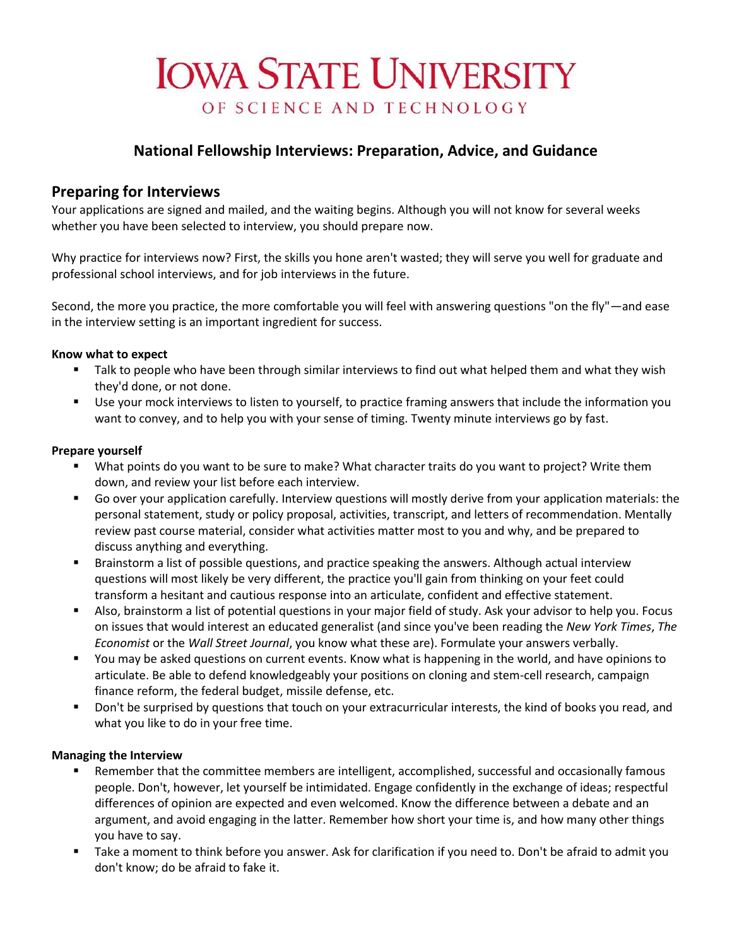# **IOWA STATE UNIVERSITY** OF SCIENCE AND TECHNOLOGY

## **National Fellowship Interviews: Preparation, Advice, and Guidance**

## **Preparing for Interviews**

Your applications are signed and mailed, and the waiting begins. Although you will not know for several weeks whether you have been selected to interview, you should prepare now.

Why practice for interviews now? First, the skills you hone aren't wasted; they will serve you well for graduate and professional school interviews, and for job interviews in the future.

Second, the more you practice, the more comfortable you will feel with answering questions "on the fly"—and ease in the interview setting is an important ingredient for success.

#### **Know what to expect**

- **Talk to people who have been through similar interviews to find out what helped them and what they wish** they'd done, or not done.
- Use your mock interviews to listen to yourself, to practice framing answers that include the information you want to convey, and to help you with your sense of timing. Twenty minute interviews go by fast.

#### **Prepare yourself**

- What points do you want to be sure to make? What character traits do you want to project? Write them down, and review your list before each interview.
- Go over your application carefully. Interview questions will mostly derive from your application materials: the personal statement, study or policy proposal, activities, transcript, and letters of recommendation. Mentally review past course material, consider what activities matter most to you and why, and be prepared to discuss anything and everything.
- **Brainstorm a list of possible questions, and practice speaking the answers. Although actual interview** questions will most likely be very different, the practice you'll gain from thinking on your feet could transform a hesitant and cautious response into an articulate, confident and effective statement.
- Also, brainstorm a list of potential questions in your major field of study. Ask your advisor to help you. Focus on issues that would interest an educated generalist (and since you've been reading the *New York Times*, *The Economist* or the *Wall Street Journal*, you know what these are). Formulate your answers verbally.
- You may be asked questions on current events. Know what is happening in the world, and have opinions to articulate. Be able to defend knowledgeably your positions on cloning and stem-cell research, campaign finance reform, the federal budget, missile defense, etc.
- Don't be surprised by questions that touch on your extracurricular interests, the kind of books you read, and what you like to do in your free time.

## **Managing the Interview**

- **EXECT** Remember that the committee members are intelligent, accomplished, successful and occasionally famous people. Don't, however, let yourself be intimidated. Engage confidently in the exchange of ideas; respectful differences of opinion are expected and even welcomed. Know the difference between a debate and an argument, and avoid engaging in the latter. Remember how short your time is, and how many other things you have to say.
- Take a moment to think before you answer. Ask for clarification if you need to. Don't be afraid to admit you don't know; do be afraid to fake it.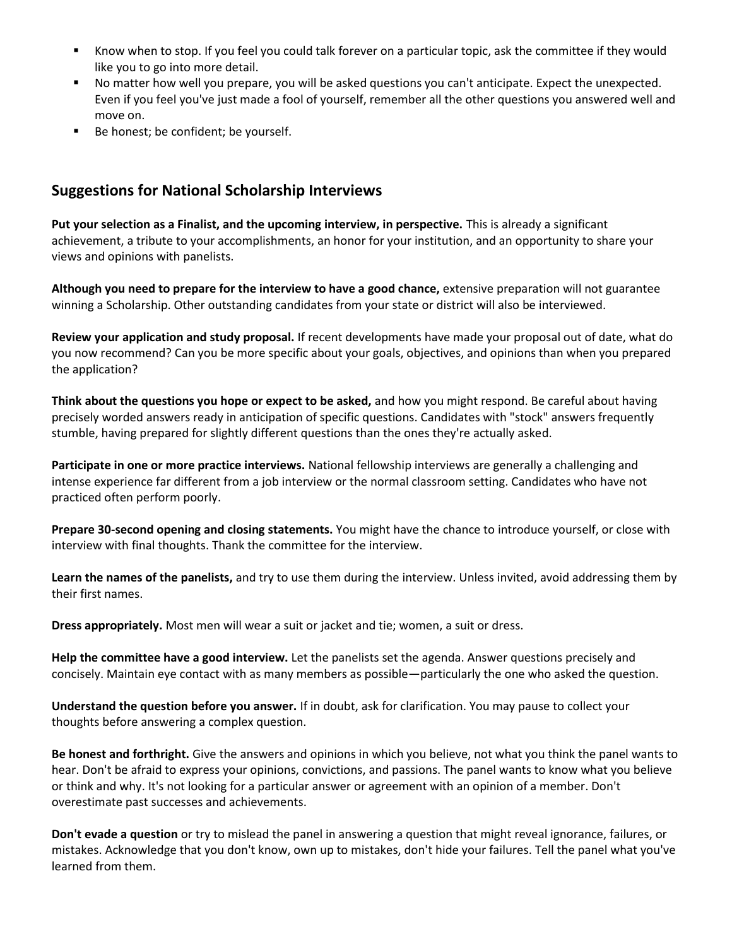- Know when to stop. If you feel you could talk forever on a particular topic, ask the committee if they would like you to go into more detail.
- No matter how well you prepare, you will be asked questions you can't anticipate. Expect the unexpected. Even if you feel you've just made a fool of yourself, remember all the other questions you answered well and move on.
- Be honest; be confident; be yourself.

# **Suggestions for National Scholarship Interviews**

**Put your selection as a Finalist, and the upcoming interview, in perspective.** This is already a significant achievement, a tribute to your accomplishments, an honor for your institution, and an opportunity to share your views and opinions with panelists.

**Although you need to prepare for the interview to have a good chance,** extensive preparation will not guarantee winning a Scholarship. Other outstanding candidates from your state or district will also be interviewed.

**Review your application and study proposal.** If recent developments have made your proposal out of date, what do you now recommend? Can you be more specific about your goals, objectives, and opinions than when you prepared the application?

**Think about the questions you hope or expect to be asked,** and how you might respond. Be careful about having precisely worded answers ready in anticipation of specific questions. Candidates with "stock" answers frequently stumble, having prepared for slightly different questions than the ones they're actually asked.

**Participate in one or more practice interviews.** National fellowship interviews are generally a challenging and intense experience far different from a job interview or the normal classroom setting. Candidates who have not practiced often perform poorly.

**Prepare 30-second opening and closing statements.** You might have the chance to introduce yourself, or close with interview with final thoughts. Thank the committee for the interview.

**Learn the names of the panelists,** and try to use them during the interview. Unless invited, avoid addressing them by their first names.

**Dress appropriately.** Most men will wear a suit or jacket and tie; women, a suit or dress.

**Help the committee have a good interview.** Let the panelists set the agenda. Answer questions precisely and concisely. Maintain eye contact with as many members as possible—particularly the one who asked the question.

**Understand the question before you answer.** If in doubt, ask for clarification. You may pause to collect your thoughts before answering a complex question.

**Be honest and forthright.** Give the answers and opinions in which you believe, not what you think the panel wants to hear. Don't be afraid to express your opinions, convictions, and passions. The panel wants to know what you believe or think and why. It's not looking for a particular answer or agreement with an opinion of a member. Don't overestimate past successes and achievements.

**Don't evade a question** or try to mislead the panel in answering a question that might reveal ignorance, failures, or mistakes. Acknowledge that you don't know, own up to mistakes, don't hide your failures. Tell the panel what you've learned from them.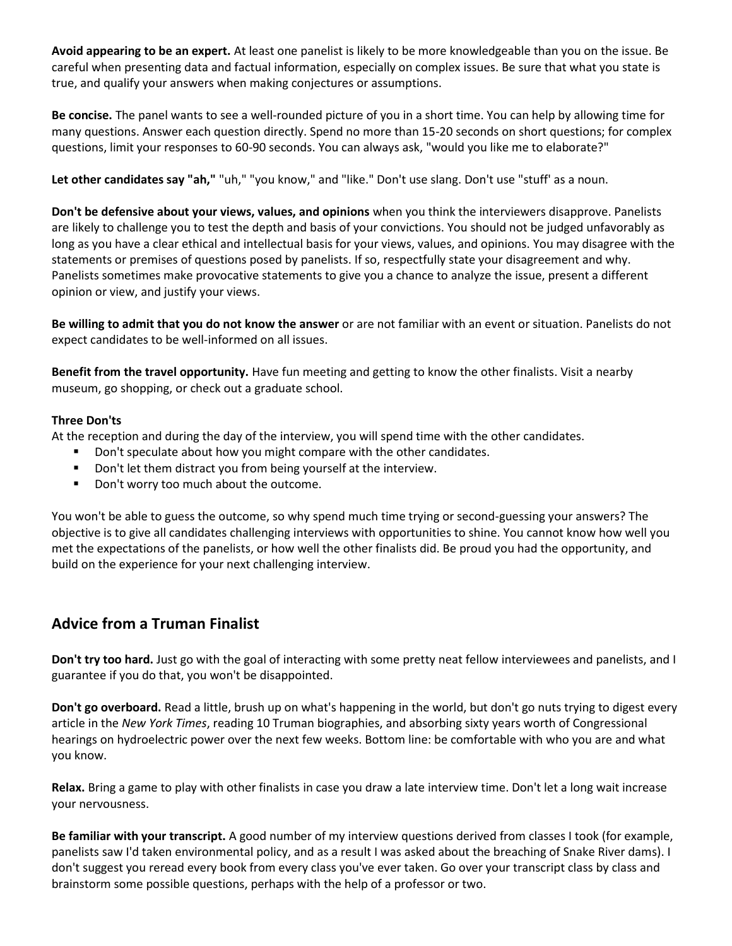**Avoid appearing to be an expert.** At least one panelist is likely to be more knowledgeable than you on the issue. Be careful when presenting data and factual information, especially on complex issues. Be sure that what you state is true, and qualify your answers when making conjectures or assumptions.

**Be concise.** The panel wants to see a well-rounded picture of you in a short time. You can help by allowing time for many questions. Answer each question directly. Spend no more than 15-20 seconds on short questions; for complex questions, limit your responses to 60-90 seconds. You can always ask, "would you like me to elaborate?"

**Let other candidates say "ah,"** "uh," "you know," and "like." Don't use slang. Don't use "stuff' as a noun.

**Don't be defensive about your views, values, and opinions** when you think the interviewers disapprove. Panelists are likely to challenge you to test the depth and basis of your convictions. You should not be judged unfavorably as long as you have a clear ethical and intellectual basis for your views, values, and opinions. You may disagree with the statements or premises of questions posed by panelists. If so, respectfully state your disagreement and why. Panelists sometimes make provocative statements to give you a chance to analyze the issue, present a different opinion or view, and justify your views.

**Be willing to admit that you do not know the answer** or are not familiar with an event or situation. Panelists do not expect candidates to be well-informed on all issues.

**Benefit from the travel opportunity.** Have fun meeting and getting to know the other finalists. Visit a nearby museum, go shopping, or check out a graduate school.

#### **Three Don'ts**

At the reception and during the day of the interview, you will spend time with the other candidates.

- Don't speculate about how you might compare with the other candidates.
- Don't let them distract you from being yourself at the interview.
- Don't worry too much about the outcome.

You won't be able to guess the outcome, so why spend much time trying or second-guessing your answers? The objective is to give all candidates challenging interviews with opportunities to shine. You cannot know how well you met the expectations of the panelists, or how well the other finalists did. Be proud you had the opportunity, and build on the experience for your next challenging interview.

# **Advice from a Truman Finalist**

**Don't try too hard.** Just go with the goal of interacting with some pretty neat fellow interviewees and panelists, and I guarantee if you do that, you won't be disappointed.

**Don't go overboard.** Read a little, brush up on what's happening in the world, but don't go nuts trying to digest every article in the *New York Times*, reading 10 Truman biographies, and absorbing sixty years worth of Congressional hearings on hydroelectric power over the next few weeks. Bottom line: be comfortable with who you are and what you know.

**Relax.** Bring a game to play with other finalists in case you draw a late interview time. Don't let a long wait increase your nervousness.

**Be familiar with your transcript.** A good number of my interview questions derived from classes I took (for example, panelists saw I'd taken environmental policy, and as a result I was asked about the breaching of Snake River dams). I don't suggest you reread every book from every class you've ever taken. Go over your transcript class by class and brainstorm some possible questions, perhaps with the help of a professor or two.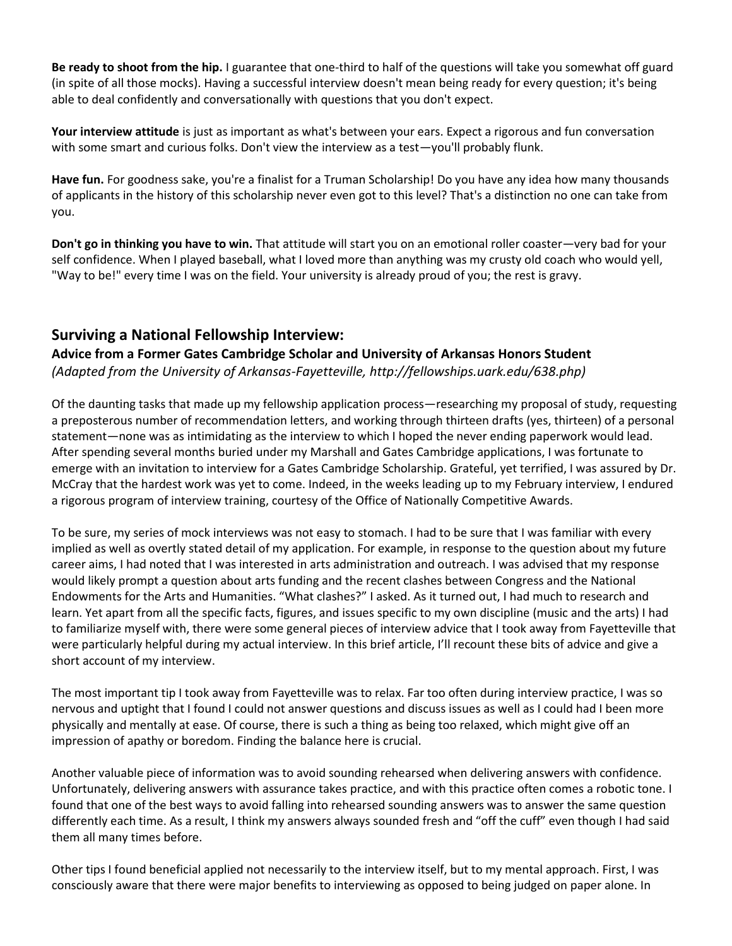**Be ready to shoot from the hip.** I guarantee that one-third to half of the questions will take you somewhat off guard (in spite of all those mocks). Having a successful interview doesn't mean being ready for every question; it's being able to deal confidently and conversationally with questions that you don't expect.

**Your interview attitude** is just as important as what's between your ears. Expect a rigorous and fun conversation with some smart and curious folks. Don't view the interview as a test—you'll probably flunk.

**Have fun.** For goodness sake, you're a finalist for a Truman Scholarship! Do you have any idea how many thousands of applicants in the history of this scholarship never even got to this level? That's a distinction no one can take from you.

**Don't go in thinking you have to win.** That attitude will start you on an emotional roller coaster—very bad for your self confidence. When I played baseball, what I loved more than anything was my crusty old coach who would yell, "Way to be!" every time I was on the field. Your university is already proud of you; the rest is gravy.

## **Surviving a National Fellowship Interview:**

## **Advice from a Former Gates Cambridge Scholar and University of Arkansas Honors Student** *(Adapted from the University of Arkansas-Fayetteville, http://fellowships.uark.edu/638.php)*

Of the daunting tasks that made up my fellowship application process—researching my proposal of study, requesting a preposterous number of recommendation letters, and working through thirteen drafts (yes, thirteen) of a personal statement—none was as intimidating as the interview to which I hoped the never ending paperwork would lead. After spending several months buried under my Marshall and Gates Cambridge applications, I was fortunate to emerge with an invitation to interview for a Gates Cambridge Scholarship. Grateful, yet terrified, I was assured by Dr. McCray that the hardest work was yet to come. Indeed, in the weeks leading up to my February interview, I endured a rigorous program of interview training, courtesy of the Office of Nationally Competitive Awards.

To be sure, my series of mock interviews was not easy to stomach. I had to be sure that I was familiar with every implied as well as overtly stated detail of my application. For example, in response to the question about my future career aims, I had noted that I was interested in arts administration and outreach. I was advised that my response would likely prompt a question about arts funding and the recent clashes between Congress and the National Endowments for the Arts and Humanities. "What clashes?" I asked. As it turned out, I had much to research and learn. Yet apart from all the specific facts, figures, and issues specific to my own discipline (music and the arts) I had to familiarize myself with, there were some general pieces of interview advice that I took away from Fayetteville that were particularly helpful during my actual interview. In this brief article, I'll recount these bits of advice and give a short account of my interview.

The most important tip I took away from Fayetteville was to relax. Far too often during interview practice, I was so nervous and uptight that I found I could not answer questions and discuss issues as well as I could had I been more physically and mentally at ease. Of course, there is such a thing as being too relaxed, which might give off an impression of apathy or boredom. Finding the balance here is crucial.

Another valuable piece of information was to avoid sounding rehearsed when delivering answers with confidence. Unfortunately, delivering answers with assurance takes practice, and with this practice often comes a robotic tone. I found that one of the best ways to avoid falling into rehearsed sounding answers was to answer the same question differently each time. As a result, I think my answers always sounded fresh and "off the cuff" even though I had said them all many times before.

Other tips I found beneficial applied not necessarily to the interview itself, but to my mental approach. First, I was consciously aware that there were major benefits to interviewing as opposed to being judged on paper alone. In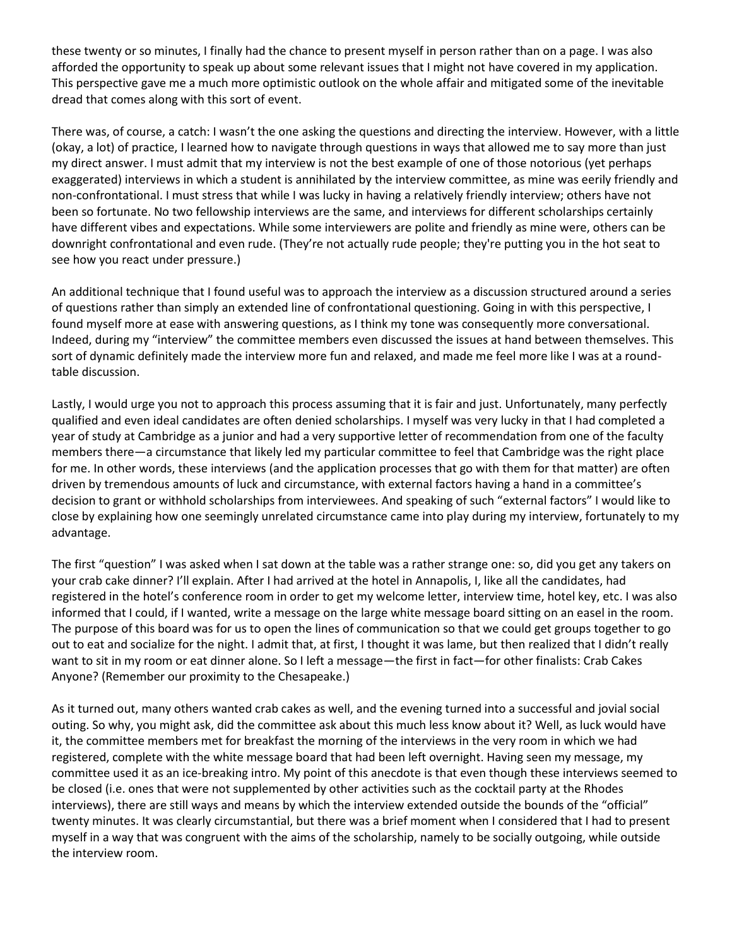these twenty or so minutes, I finally had the chance to present myself in person rather than on a page. I was also afforded the opportunity to speak up about some relevant issues that I might not have covered in my application. This perspective gave me a much more optimistic outlook on the whole affair and mitigated some of the inevitable dread that comes along with this sort of event.

There was, of course, a catch: I wasn't the one asking the questions and directing the interview. However, with a little (okay, a lot) of practice, I learned how to navigate through questions in ways that allowed me to say more than just my direct answer. I must admit that my interview is not the best example of one of those notorious (yet perhaps exaggerated) interviews in which a student is annihilated by the interview committee, as mine was eerily friendly and non-confrontational. I must stress that while I was lucky in having a relatively friendly interview; others have not been so fortunate. No two fellowship interviews are the same, and interviews for different scholarships certainly have different vibes and expectations. While some interviewers are polite and friendly as mine were, others can be downright confrontational and even rude. (They're not actually rude people; they're putting you in the hot seat to see how you react under pressure.)

An additional technique that I found useful was to approach the interview as a discussion structured around a series of questions rather than simply an extended line of confrontational questioning. Going in with this perspective, I found myself more at ease with answering questions, as I think my tone was consequently more conversational. Indeed, during my "interview" the committee members even discussed the issues at hand between themselves. This sort of dynamic definitely made the interview more fun and relaxed, and made me feel more like I was at a roundtable discussion.

Lastly, I would urge you not to approach this process assuming that it is fair and just. Unfortunately, many perfectly qualified and even ideal candidates are often denied scholarships. I myself was very lucky in that I had completed a year of study at Cambridge as a junior and had a very supportive letter of recommendation from one of the faculty members there—a circumstance that likely led my particular committee to feel that Cambridge was the right place for me. In other words, these interviews (and the application processes that go with them for that matter) are often driven by tremendous amounts of luck and circumstance, with external factors having a hand in a committee's decision to grant or withhold scholarships from interviewees. And speaking of such "external factors" I would like to close by explaining how one seemingly unrelated circumstance came into play during my interview, fortunately to my advantage.

The first "question" I was asked when I sat down at the table was a rather strange one: so, did you get any takers on your crab cake dinner? I'll explain. After I had arrived at the hotel in Annapolis, I, like all the candidates, had registered in the hotel's conference room in order to get my welcome letter, interview time, hotel key, etc. I was also informed that I could, if I wanted, write a message on the large white message board sitting on an easel in the room. The purpose of this board was for us to open the lines of communication so that we could get groups together to go out to eat and socialize for the night. I admit that, at first, I thought it was lame, but then realized that I didn't really want to sit in my room or eat dinner alone. So I left a message—the first in fact—for other finalists: Crab Cakes Anyone? (Remember our proximity to the Chesapeake.)

As it turned out, many others wanted crab cakes as well, and the evening turned into a successful and jovial social outing. So why, you might ask, did the committee ask about this much less know about it? Well, as luck would have it, the committee members met for breakfast the morning of the interviews in the very room in which we had registered, complete with the white message board that had been left overnight. Having seen my message, my committee used it as an ice-breaking intro. My point of this anecdote is that even though these interviews seemed to be closed (i.e. ones that were not supplemented by other activities such as the cocktail party at the Rhodes interviews), there are still ways and means by which the interview extended outside the bounds of the "official" twenty minutes. It was clearly circumstantial, but there was a brief moment when I considered that I had to present myself in a way that was congruent with the aims of the scholarship, namely to be socially outgoing, while outside the interview room.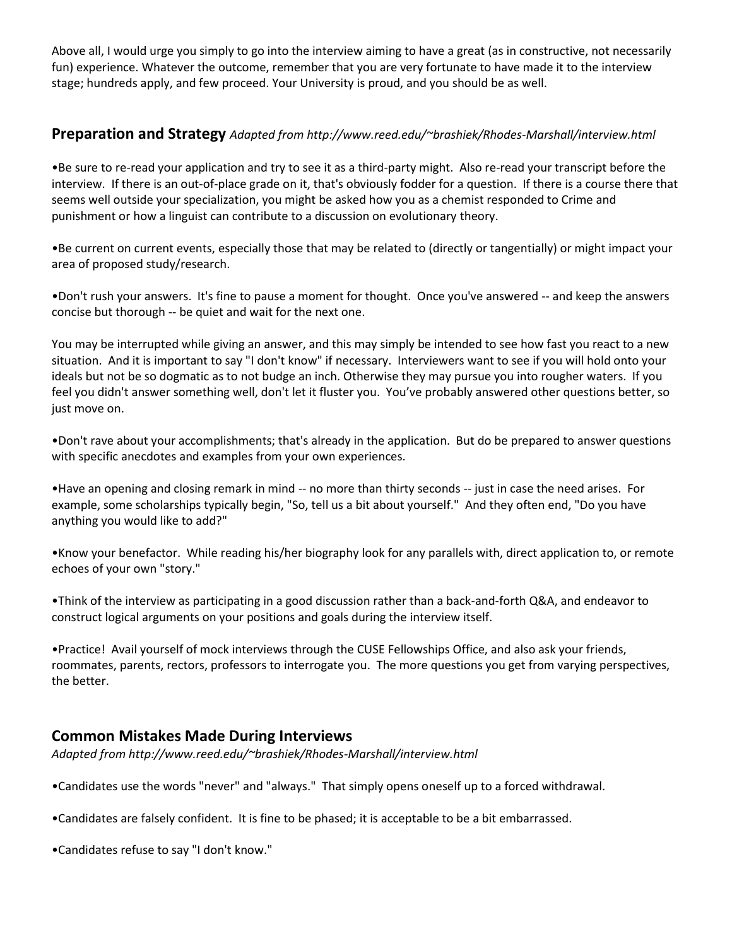Above all, I would urge you simply to go into the interview aiming to have a great (as in constructive, not necessarily fun) experience. Whatever the outcome, remember that you are very fortunate to have made it to the interview stage; hundreds apply, and few proceed. Your University is proud, and you should be as well.

## **Preparation and Strategy** *Adapted from http://www.reed.edu/~brashiek/Rhodes-Marshall/interview.html*

•Be sure to re-read your application and try to see it as a third-party might. Also re-read your transcript before the interview. If there is an out-of-place grade on it, that's obviously fodder for a question. If there is a course there that seems well outside your specialization, you might be asked how you as a chemist responded to Crime and punishment or how a linguist can contribute to a discussion on evolutionary theory.

•Be current on current events, especially those that may be related to (directly or tangentially) or might impact your area of proposed study/research.

•Don't rush your answers. It's fine to pause a moment for thought. Once you've answered -- and keep the answers concise but thorough -- be quiet and wait for the next one.

You may be interrupted while giving an answer, and this may simply be intended to see how fast you react to a new situation. And it is important to say "I don't know" if necessary. Interviewers want to see if you will hold onto your ideals but not be so dogmatic as to not budge an inch. Otherwise they may pursue you into rougher waters. If you feel you didn't answer something well, don't let it fluster you. You've probably answered other questions better, so just move on.

•Don't rave about your accomplishments; that's already in the application. But do be prepared to answer questions with specific anecdotes and examples from your own experiences.

•Have an opening and closing remark in mind -- no more than thirty seconds -- just in case the need arises. For example, some scholarships typically begin, "So, tell us a bit about yourself." And they often end, "Do you have anything you would like to add?"

•Know your benefactor. While reading his/her biography look for any parallels with, direct application to, or remote echoes of your own "story."

•Think of the interview as participating in a good discussion rather than a back-and-forth Q&A, and endeavor to construct logical arguments on your positions and goals during the interview itself.

•Practice! Avail yourself of mock interviews through the CUSE Fellowships Office, and also ask your friends, roommates, parents, rectors, professors to interrogate you. The more questions you get from varying perspectives, the better.

## **Common Mistakes Made During Interviews**

*Adapted from http://www.reed.edu/~brashiek/Rhodes-Marshall/interview.html*

•Candidates use the words "never" and "always." That simply opens oneself up to a forced withdrawal.

•Candidates are falsely confident. It is fine to be phased; it is acceptable to be a bit embarrassed.

•Candidates refuse to say "I don't know."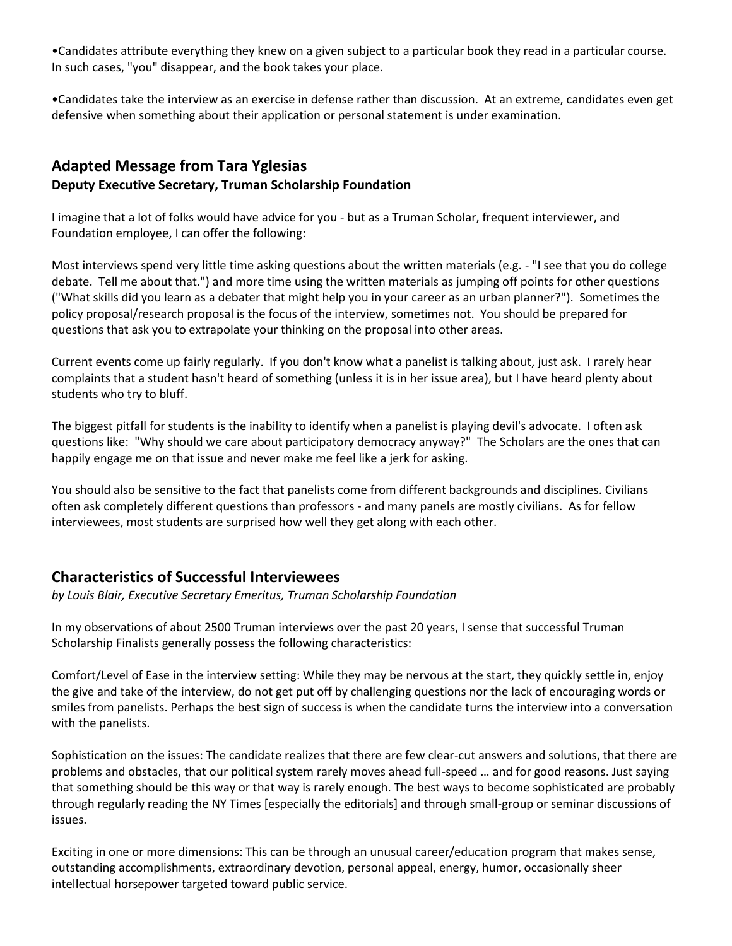•Candidates attribute everything they knew on a given subject to a particular book they read in a particular course. In such cases, "you" disappear, and the book takes your place.

•Candidates take the interview as an exercise in defense rather than discussion. At an extreme, candidates even get defensive when something about their application or personal statement is under examination.

## **Adapted Message from Tara Yglesias Deputy Executive Secretary, Truman Scholarship Foundation**

I imagine that a lot of folks would have advice for you - but as a Truman Scholar, frequent interviewer, and Foundation employee, I can offer the following:

Most interviews spend very little time asking questions about the written materials (e.g. - "I see that you do college debate. Tell me about that.") and more time using the written materials as jumping off points for other questions ("What skills did you learn as a debater that might help you in your career as an urban planner?"). Sometimes the policy proposal/research proposal is the focus of the interview, sometimes not. You should be prepared for questions that ask you to extrapolate your thinking on the proposal into other areas.

Current events come up fairly regularly. If you don't know what a panelist is talking about, just ask. I rarely hear complaints that a student hasn't heard of something (unless it is in her issue area), but I have heard plenty about students who try to bluff.

The biggest pitfall for students is the inability to identify when a panelist is playing devil's advocate. I often ask questions like: "Why should we care about participatory democracy anyway?" The Scholars are the ones that can happily engage me on that issue and never make me feel like a jerk for asking.

You should also be sensitive to the fact that panelists come from different backgrounds and disciplines. Civilians often ask completely different questions than professors - and many panels are mostly civilians. As for fellow interviewees, most students are surprised how well they get along with each other.

# **Characteristics of Successful Interviewees**

*by Louis Blair, Executive Secretary Emeritus, Truman Scholarship Foundation*

In my observations of about 2500 Truman interviews over the past 20 years, I sense that successful Truman Scholarship Finalists generally possess the following characteristics:

Comfort/Level of Ease in the interview setting: While they may be nervous at the start, they quickly settle in, enjoy the give and take of the interview, do not get put off by challenging questions nor the lack of encouraging words or smiles from panelists. Perhaps the best sign of success is when the candidate turns the interview into a conversation with the panelists.

Sophistication on the issues: The candidate realizes that there are few clear-cut answers and solutions, that there are problems and obstacles, that our political system rarely moves ahead full-speed … and for good reasons. Just saying that something should be this way or that way is rarely enough. The best ways to become sophisticated are probably through regularly reading the NY Times [especially the editorials] and through small-group or seminar discussions of issues.

Exciting in one or more dimensions: This can be through an unusual career/education program that makes sense, outstanding accomplishments, extraordinary devotion, personal appeal, energy, humor, occasionally sheer intellectual horsepower targeted toward public service.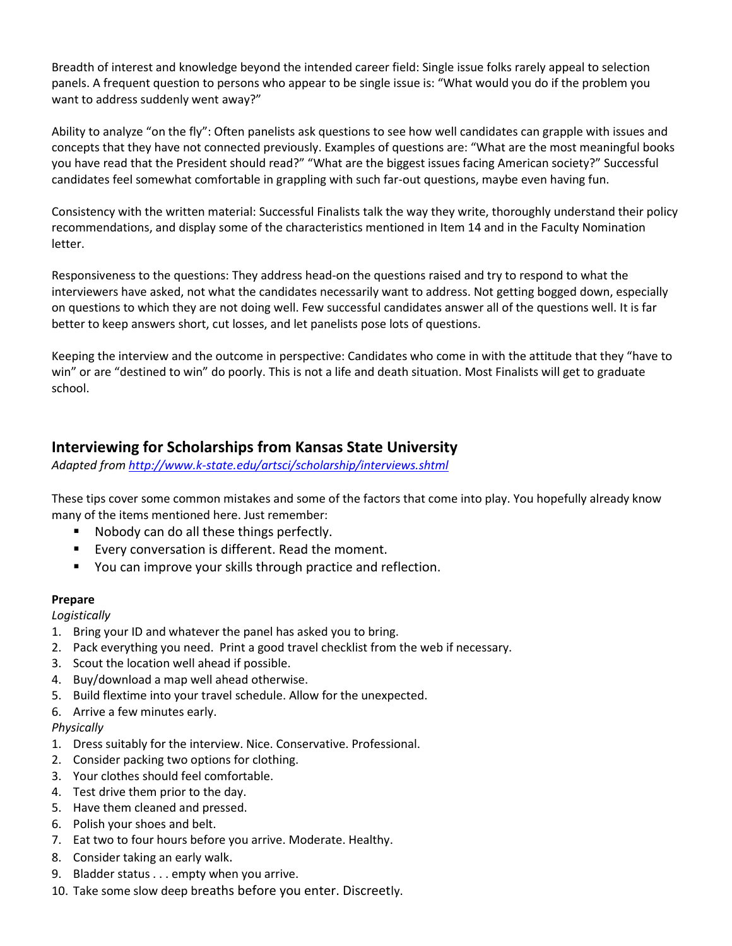Breadth of interest and knowledge beyond the intended career field: Single issue folks rarely appeal to selection panels. A frequent question to persons who appear to be single issue is: "What would you do if the problem you want to address suddenly went away?"

Ability to analyze "on the fly": Often panelists ask questions to see how well candidates can grapple with issues and concepts that they have not connected previously. Examples of questions are: "What are the most meaningful books you have read that the President should read?" "What are the biggest issues facing American society?" Successful candidates feel somewhat comfortable in grappling with such far-out questions, maybe even having fun.

Consistency with the written material: Successful Finalists talk the way they write, thoroughly understand their policy recommendations, and display some of the characteristics mentioned in Item 14 and in the Faculty Nomination letter.

Responsiveness to the questions: They address head-on the questions raised and try to respond to what the interviewers have asked, not what the candidates necessarily want to address. Not getting bogged down, especially on questions to which they are not doing well. Few successful candidates answer all of the questions well. It is far better to keep answers short, cut losses, and let panelists pose lots of questions.

Keeping the interview and the outcome in perspective: Candidates who come in with the attitude that they "have to win" or are "destined to win" do poorly. This is not a life and death situation. Most Finalists will get to graduate school.

## **Interviewing for Scholarships from Kansas State University**

*Adapted fro[m http://www.k-state.edu/artsci/scholarship/interviews.shtml](http://www.k-state.edu/artsci/scholarship/interviews.shtml)*

These tips cover some common mistakes and some of the factors that come into play. You hopefully already know many of the items mentioned here. Just remember:

- Nobody can do all these things perfectly.
- Every conversation is different. Read the moment.
- You can improve your skills through practice and reflection.

## **Prepare**

*Logistically* 

- 1. Bring your ID and whatever the panel has asked you to bring.
- 2. Pack everything you need. Print a good travel checklist from the web if necessary.
- 3. Scout the location well ahead if possible.
- 4. Buy/download a map well ahead otherwise.
- 5. Build flextime into your travel schedule. Allow for the unexpected.
- 6. Arrive a few minutes early.

#### *Physically*

- 1. Dress suitably for the interview. Nice. Conservative. Professional.
- 2. Consider packing two options for clothing.
- 3. Your clothes should feel comfortable.
- 4. Test drive them prior to the day.
- 5. Have them cleaned and pressed.
- 6. Polish your shoes and belt.
- 7. Eat two to four hours before you arrive. Moderate. Healthy.
- 8. Consider taking an early walk.
- 9. Bladder status . . . empty when you arrive.
- 10. Take some slow deep breaths before you enter. Discreetly.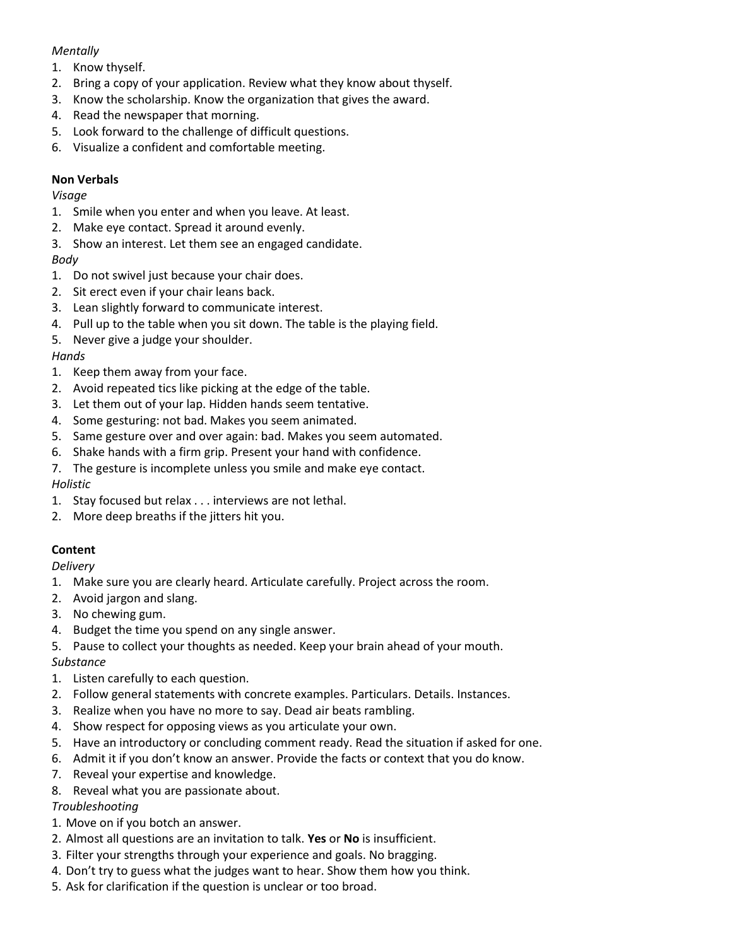## *Mentally*

- 1. Know thyself.
- 2. Bring a copy of your application. Review what they know about thyself.
- 3. Know the scholarship. Know the organization that gives the award.
- 4. Read the newspaper that morning.
- 5. Look forward to the challenge of difficult questions.
- 6. Visualize a confident and comfortable meeting.

## **Non Verbals**

## *Visage*

- 1. Smile when you enter and when you leave. At least.
- 2. Make eye contact. Spread it around evenly.
- 3. Show an interest. Let them see an engaged candidate.

## *Body*

- 1. Do not swivel just because your chair does.
- 2. Sit erect even if your chair leans back.
- 3. Lean slightly forward to communicate interest.
- 4. Pull up to the table when you sit down. The table is the playing field.
- 5. Never give a judge your shoulder.

#### *Hands*

- 1. Keep them away from your face.
- 2. Avoid repeated tics like picking at the edge of the table.
- 3. Let them out of your lap. Hidden hands seem tentative.
- 4. Some gesturing: not bad. Makes you seem animated.
- 5. Same gesture over and over again: bad. Makes you seem automated.
- 6. Shake hands with a firm grip. Present your hand with confidence.
- 7. The gesture is incomplete unless you smile and make eye contact.

## *Holistic*

- 1. Stay focused but relax . . . interviews are not lethal.
- 2. More deep breaths if the jitters hit you.

## **Content**

## *Delivery*

- 1. Make sure you are clearly heard. Articulate carefully. Project across the room.
- 2. Avoid jargon and slang.
- 3. No chewing gum.
- 4. Budget the time you spend on any single answer.
- 5. Pause to collect your thoughts as needed. Keep your brain ahead of your mouth.

## *Substance*

- 1. Listen carefully to each question.
- 2. Follow general statements with concrete examples. Particulars. Details. Instances.
- 3. Realize when you have no more to say. Dead air beats rambling.
- 4. Show respect for opposing views as you articulate your own.
- 5. Have an introductory or concluding comment ready. Read the situation if asked for one.
- 6. Admit it if you don't know an answer. Provide the facts or context that you do know.
- 7. Reveal your expertise and knowledge.
- 8. Reveal what you are passionate about.

## *Troubleshooting*

- 1. Move on if you botch an answer.
- 2. Almost all questions are an invitation to talk. **Yes** or **No** is insufficient.
- 3. Filter your strengths through your experience and goals. No bragging.
- 4. Don't try to guess what the judges want to hear. Show them how you think.
- 5. Ask for clarification if the question is unclear or too broad.